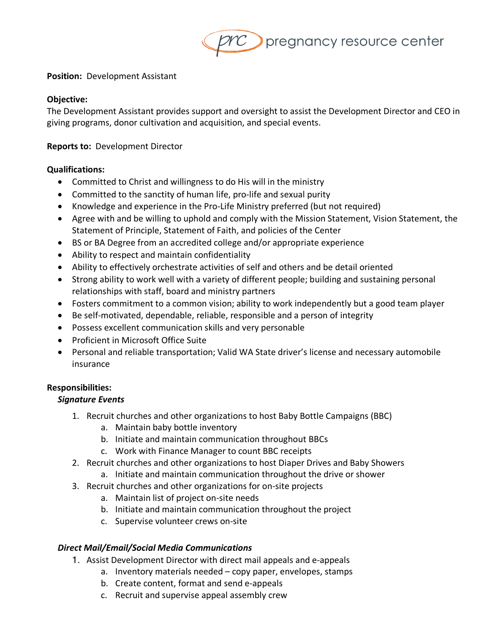

### **Position:** Development Assistant

#### **Objective:**

The Development Assistant provides support and oversight to assist the Development Director and CEO in giving programs, donor cultivation and acquisition, and special events.

#### **Reports to:** Development Director

#### **Qualifications:**

- Committed to Christ and willingness to do His will in the ministry
- Committed to the sanctity of human life, pro-life and sexual purity
- Knowledge and experience in the Pro-Life Ministry preferred (but not required)
- Agree with and be willing to uphold and comply with the Mission Statement, Vision Statement, the Statement of Principle, Statement of Faith, and policies of the Center
- BS or BA Degree from an accredited college and/or appropriate experience
- Ability to respect and maintain confidentiality
- Ability to effectively orchestrate activities of self and others and be detail oriented
- Strong ability to work well with a variety of different people; building and sustaining personal relationships with staff, board and ministry partners
- Fosters commitment to a common vision; ability to work independently but a good team player
- Be self-motivated, dependable, reliable, responsible and a person of integrity
- Possess excellent communication skills and very personable
- Proficient in Microsoft Office Suite
- Personal and reliable transportation; Valid WA State driver's license and necessary automobile insurance

### **Responsibilities:**

### *Signature Events*

- 1. Recruit churches and other organizations to host Baby Bottle Campaigns (BBC)
	- a. Maintain baby bottle inventory
	- b. Initiate and maintain communication throughout BBCs
	- c. Work with Finance Manager to count BBC receipts
- 2. Recruit churches and other organizations to host Diaper Drives and Baby Showers a. Initiate and maintain communication throughout the drive or shower
- 3. Recruit churches and other organizations for on-site projects
	- a. Maintain list of project on-site needs
		-
		- b. Initiate and maintain communication throughout the project
		- c. Supervise volunteer crews on-site

### *Direct Mail/Email/Social Media Communications*

- 1. Assist Development Director with direct mail appeals and e-appeals
	- a. Inventory materials needed copy paper, envelopes, stamps
	- b. Create content, format and send e-appeals
	- c. Recruit and supervise appeal assembly crew